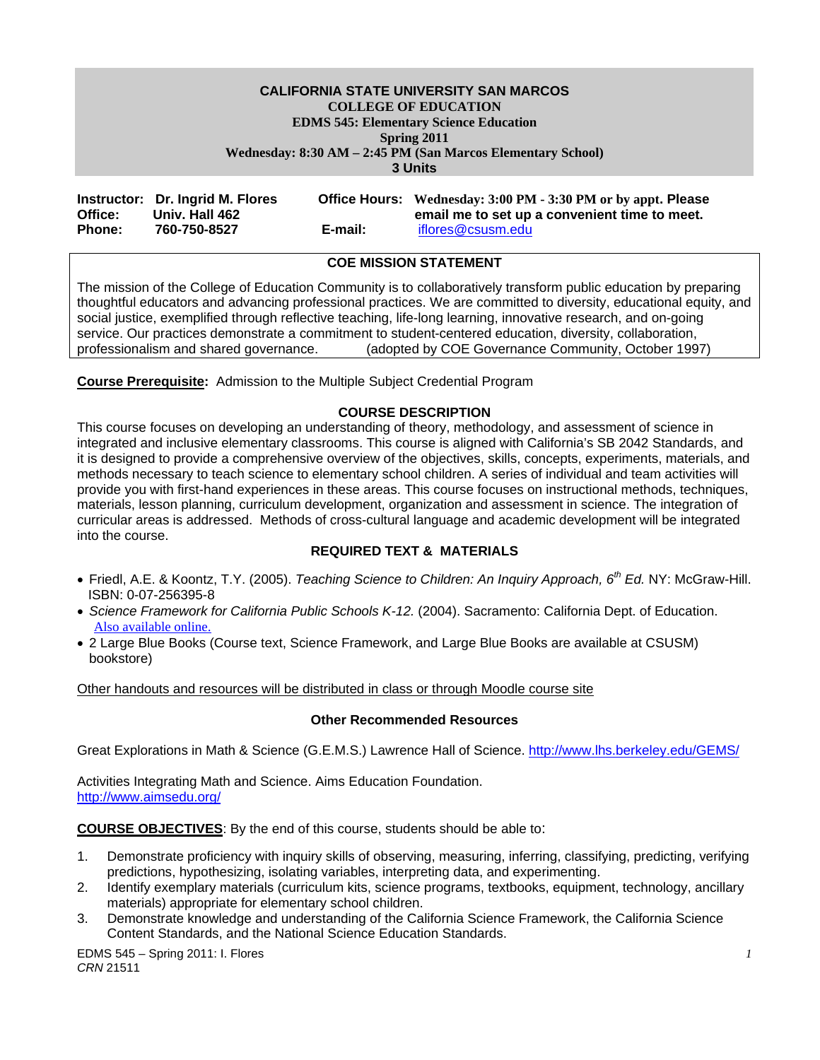#### **CALIFORNIA STATE UNIVERSITY SAN MARCOS COLLEGE OF EDUCATION EDMS 545: Elementary Science Education Spring 2011**

**Wednesday: 8:30 AM – 2:45 PM (San Marcos Elementary School)** 

**3 Units** 

|               | Instructor: Dr. Ingrid M. Flores |         | Office Hours: Wednesday: 3:00 PM - 3:30 PM or by appt. Please |
|---------------|----------------------------------|---------|---------------------------------------------------------------|
| Office:       | Univ. Hall 462                   |         | email me to set up a convenient time to meet.                 |
| <b>Phone:</b> | 760-750-8527                     | E-mail: | iflores@csusm.edu                                             |

# **COE MISSION STATEMENT**

The mission of the College of Education Community is to collaboratively transform public education by preparing thoughtful educators and advancing professional practices. We are committed to diversity, educational equity, and social justice, exemplified through reflective teaching, life-long learning, innovative research, and on-going service. Our practices demonstrate a commitment to student-centered education, diversity, collaboration, professionalism and shared governance. (adopted by COE Governance Community, October 199 (adopted by COE Governance Community, October 1997)

**Course Prerequisite:** Admission to the Multiple Subject Credential Program

# **COURSE DESCRIPTION**

This course focuses on developing an understanding of theory, methodology, and assessment of science in integrated and inclusive elementary classrooms. This course is aligned with California's SB 2042 Standards, and it is designed to provide a comprehensive overview of the objectives, skills, concepts, experiments, materials, and methods necessary to teach science to elementary school children. A series of individual and team activities will provide you with first-hand experiences in these areas. This course focuses on instructional methods, techniques, materials, lesson planning, curriculum development, organization and assessment in science. The integration of curricular areas is addressed. Methods of cross-cultural language and academic development will be integrated into the course.

# **REQUIRED TEXT & MATERIALS**

- Friedl, A.E. & Koontz, T.Y. (2005). *Teaching Science to Children: An Inquiry Approach, 6th Ed.* NY: McGraw-Hill. ISBN: 0-07-256395-8
- *Science Framework for California Public Schools K-12.* (2004). Sacramento: California Dept. of Education. Also available online.
- 2 Large Blue Books (Course text, Science Framework, and Large Blue Books are available at CSUSM) bookstore)

Other handouts and resources will be distributed in class or through Moodle course site

#### **Other Recommended Resources**

Great Explorations in Math & Science (G.E.M.S.) Lawrence Hall of Science. http://www.lhs.berkeley.edu/GEMS/

Activities Integrating Math and Science. Aims Education Foundation. http://www.aimsedu.org/

**COURSE OBJECTIVES**: By the end of this course, students should be able to:

- 1. Demonstrate proficiency with inquiry skills of observing, measuring, inferring, classifying, predicting, verifying predictions, hypothesizing, isolating variables, interpreting data, and experimenting.
- 2. Identify exemplary materials (curriculum kits, science programs, textbooks, equipment, technology, ancillary materials) appropriate for elementary school children.
- 3. Demonstrate knowledge and understanding of the California Science Framework, the California Science Content Standards, and the National Science Education Standards.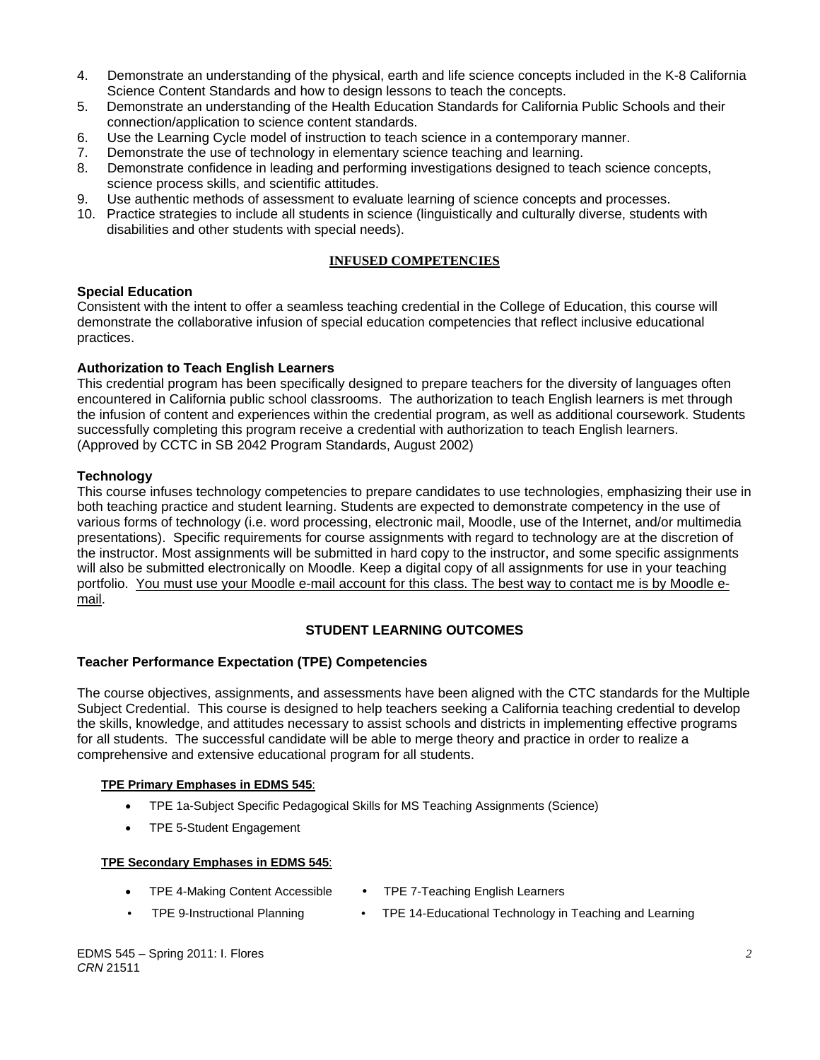- 4. Demonstrate an understanding of the physical, earth and life science concepts included in the K-8 California Science Content Standards and how to design lessons to teach the concepts.
- 5. Demonstrate an understanding of the Health Education Standards for California Public Schools and their connection/application to science content standards.
- 6. Use the Learning Cycle model of instruction to teach science in a contemporary manner.
- 7. Demonstrate the use of technology in elementary science teaching and learning.
- 8. Demonstrate confidence in leading and performing investigations designed to teach science concepts, science process skills, and scientific attitudes.
- 9. Use authentic methods of assessment to evaluate learning of science concepts and processes.
- 10. Practice strategies to include all students in science (linguistically and culturally diverse, students with disabilities and other students with special needs).

# **INFUSED COMPETENCIES**

#### **Special Education**

Consistent with the intent to offer a seamless teaching credential in the College of Education, this course will demonstrate the collaborative infusion of special education competencies that reflect inclusive educational practices.

# **Authorization to Teach English Learners**

This credential program has been specifically designed to prepare teachers for the diversity of languages often encountered in California public school classrooms. The authorization to teach English learners is met through the infusion of content and experiences within the credential program, as well as additional coursework. Students successfully completing this program receive a credential with authorization to teach English learners. (Approved by CCTC in SB 2042 Program Standards, August 2002)

# **Technology**

This course infuses technology competencies to prepare candidates to use technologies, emphasizing their use in both teaching practice and student learning. Students are expected to demonstrate competency in the use of various forms of technology (i.e. word processing, electronic mail, Moodle, use of the Internet, and/or multimedia presentations). Specific requirements for course assignments with regard to technology are at the discretion of the instructor. Most assignments will be submitted in hard copy to the instructor, and some specific assignments will also be submitted electronically on Moodle. Keep a digital copy of all assignments for use in your teaching portfolio. You must use your Moodle e-mail account for this class. The best way to contact me is by Moodle email.

# **STUDENT LEARNING OUTCOMES**

#### **Teacher Performance Expectation (TPE) Competencies**

The course objectives, assignments, and assessments have been aligned with the CTC standards for the Multiple Subject Credential. This course is designed to help teachers seeking a California teaching credential to develop the skills, knowledge, and attitudes necessary to assist schools and districts in implementing effective programs for all students. The successful candidate will be able to merge theory and practice in order to realize a comprehensive and extensive educational program for all students.

#### **TPE Primary Emphases in EDMS 545**:

- TPE 1a-Subject Specific Pedagogical Skills for MS Teaching Assignments (Science)
- TPE 5-Student Engagement

#### **TPE Secondary Emphases in EDMS 545**:

- TPE 4-Making Content Accessible TPE 7-Teaching English Learners
- 
- 
- TPE 9-Instructional Planning TPE 14-Educational Technology in Teaching and Learning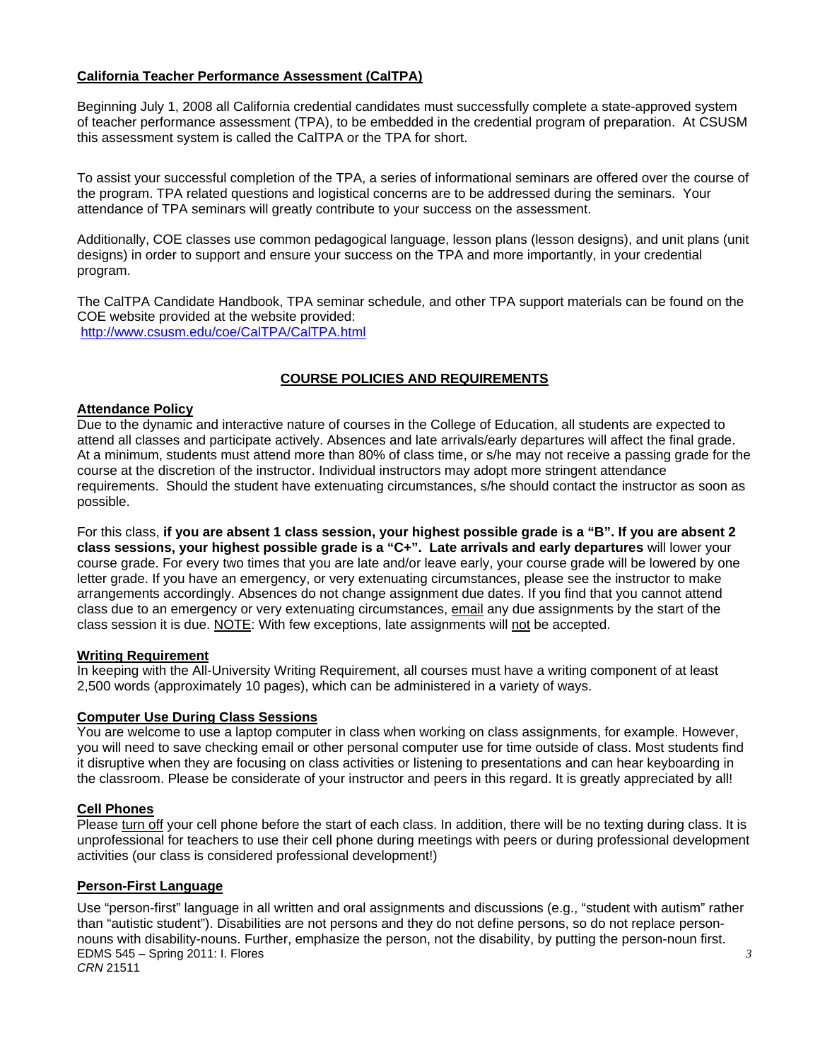# **California Teacher Performance Assessment (CalTPA)**

Beginning July 1, 2008 all California credential candidates must successfully complete a state-approved system of teacher performance assessment (TPA), to be embedded in the credential program of preparation. At CSUSM this assessment system is called the CalTPA or the TPA for short.

To assist your successful completion of the TPA, a series of informational seminars are offered over the course of the program. TPA related questions and logistical concerns are to be addressed during the seminars. Your attendance of TPA seminars will greatly contribute to your success on the assessment.

Additionally, COE classes use common pedagogical language, lesson plans (lesson designs), and unit plans (unit designs) in order to support and ensure your success on the TPA and more importantly, in your credential program.

The CalTPA Candidate Handbook, TPA seminar schedule, and other TPA support materials can be found on the COE website provided at the website provided: http://www.csusm.edu/coe/CalTPA/CalTPA.html

# **COURSE POLICIES AND REQUIREMENTS**

# **Attendance Policy**

Due to the dynamic and interactive nature of courses in the College of Education, all students are expected to attend all classes and participate actively. Absences and late arrivals/early departures will affect the final grade. At a minimum, students must attend more than 80% of class time, or s/he may not receive a passing grade for the course at the discretion of the instructor. Individual instructors may adopt more stringent attendance requirements. Should the student have extenuating circumstances, s/he should contact the instructor as soon as possible.

For this class, **if you are absent 1 class session, your highest possible grade is a "B". If you are absent 2 class sessions, your highest possible grade is a "C+". Late arrivals and early departures** will lower your course grade. For every two times that you are late and/or leave early, your course grade will be lowered by one letter grade. If you have an emergency, or very extenuating circumstances, please see the instructor to make arrangements accordingly. Absences do not change assignment due dates. If you find that you cannot attend class due to an emergency or very extenuating circumstances, email any due assignments by the start of the class session it is due. NOTE: With few exceptions, late assignments will not be accepted.

#### **Writing Requirement**

In keeping with the All-University Writing Requirement, all courses must have a writing component of at least 2,500 words (approximately 10 pages), which can be administered in a variety of ways.

#### **Computer Use During Class Sessions**

You are welcome to use a laptop computer in class when working on class assignments, for example. However, you will need to save checking email or other personal computer use for time outside of class. Most students find it disruptive when they are focusing on class activities or listening to presentations and can hear keyboarding in the classroom. Please be considerate of your instructor and peers in this regard. It is greatly appreciated by all!

#### **Cell Phones**

Please turn off your cell phone before the start of each class. In addition, there will be no texting during class. It is unprofessional for teachers to use their cell phone during meetings with peers or during professional development activities (our class is considered professional development!)

# **Person-First Language**

Use "person-first" language in all written and oral assignments and discussions (e.g., "student with autism" rather than "autistic student"). Disabilities are not persons and they do not define persons, so do not replace personnouns with disability-nouns. Further, emphasize the person, not the disability, by putting the person-noun first. EDMS 545 – Spring 2011: I. Flores *CRN* 21511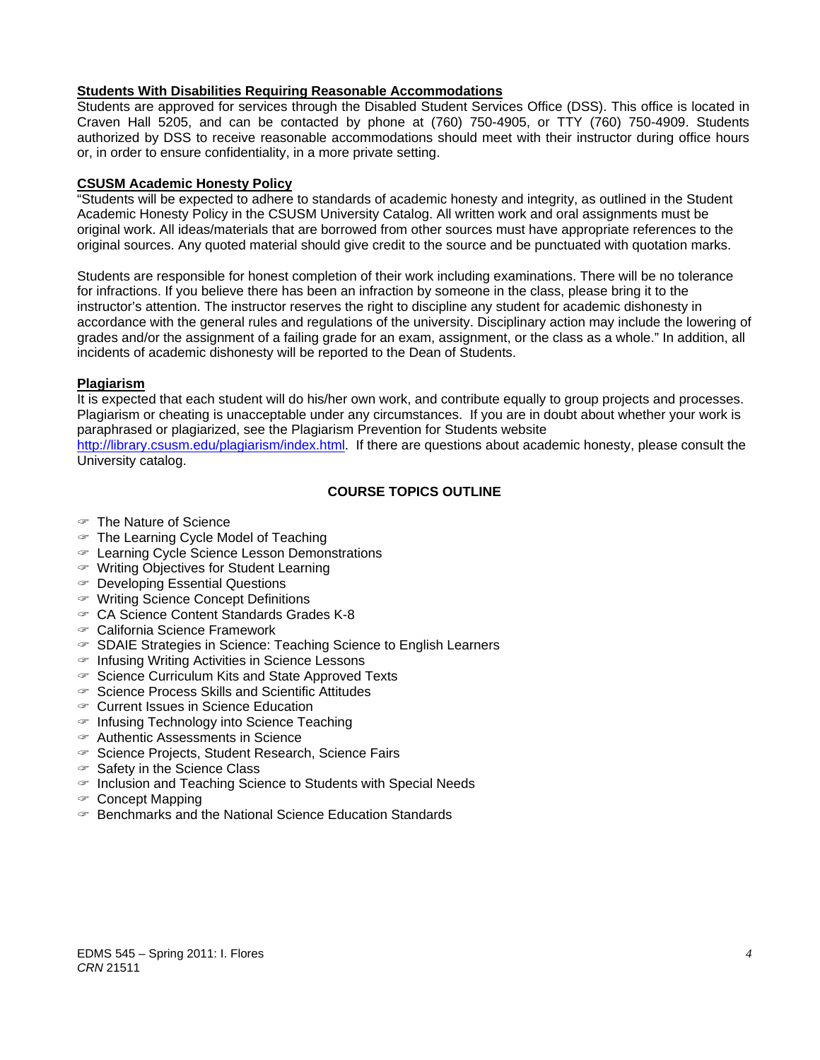# **Students With Disabilities Requiring Reasonable Accommodations**

Students are approved for services through the Disabled Student Services Office (DSS). This office is located in Craven Hall 5205, and can be contacted by phone at (760) 750-4905, or TTY (760) 750-4909. Students authorized by DSS to receive reasonable accommodations should meet with their instructor during office hours or, in order to ensure confidentiality, in a more private setting.

#### **CSUSM Academic Honesty Policy**

"Students will be expected to adhere to standards of academic honesty and integrity, as outlined in the Student Academic Honesty Policy in the CSUSM University Catalog. All written work and oral assignments must be original work. All ideas/materials that are borrowed from other sources must have appropriate references to the original sources. Any quoted material should give credit to the source and be punctuated with quotation marks.

Students are responsible for honest completion of their work including examinations. There will be no tolerance for infractions. If you believe there has been an infraction by someone in the class, please bring it to the instructor's attention. The instructor reserves the right to discipline any student for academic dishonesty in accordance with the general rules and regulations of the university. Disciplinary action may include the lowering of grades and/or the assignment of a failing grade for an exam, assignment, or the class as a whole." In addition, all incidents of academic dishonesty will be reported to the Dean of Students.

# **Plagiarism**

It is expected that each student will do his/her own work, and contribute equally to group projects and processes. Plagiarism or cheating is unacceptable under any circumstances. If you are in doubt about whether your work is paraphrased or plagiarized, see the Plagiarism Prevention for Students website

http://library.csusm.edu/plagiarism/index.html. If there are questions about academic honesty, please consult the University catalog.

# **COURSE TOPICS OUTLINE**

- The Nature of Science
- $\mathcal F$  The Learning Cycle Model of Teaching
- Learning Cycle Science Lesson Demonstrations
- Writing Objectives for Student Learning
- Developing Essential Questions
- Writing Science Concept Definitions
- CA Science Content Standards Grades K-8
- California Science Framework
- $\infty$  SDAIE Strategies in Science: Teaching Science to English Learners
- $\in$  Infusing Writing Activities in Science Lessons
- $\infty$  Science Curriculum Kits and State Approved Texts
- $\in$  Science Process Skills and Scientific Attitudes
- Current Issues in Science Education
- $\in$  Infusing Technology into Science Teaching
- Authentic Assessments in Science
- $\infty$  Science Projects, Student Research, Science Fairs
- $\in$  Safety in the Science Class
- $\in$  Inclusion and Teaching Science to Students with Special Needs
- Concept Mapping
- Benchmarks and the National Science Education Standards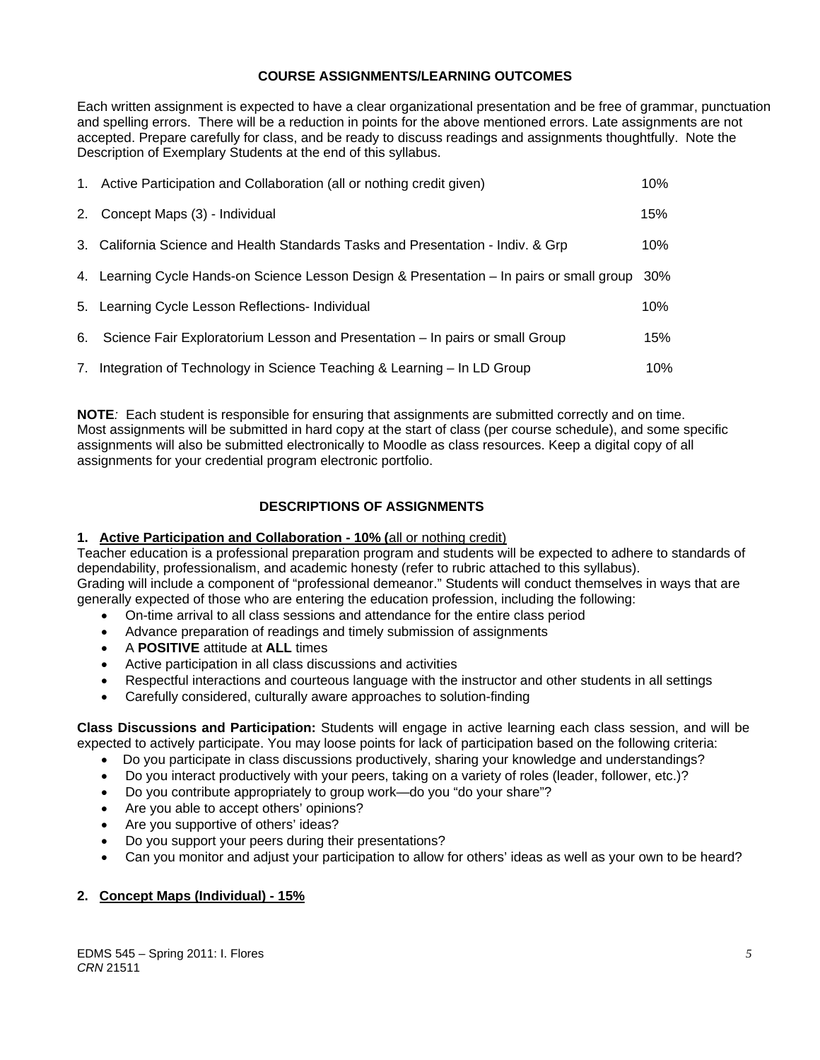# **COURSE ASSIGNMENTS/LEARNING OUTCOMES**

Each written assignment is expected to have a clear organizational presentation and be free of grammar, punctuation and spelling errors. There will be a reduction in points for the above mentioned errors. Late assignments are not accepted. Prepare carefully for class, and be ready to discuss readings and assignments thoughtfully. Note the Description of Exemplary Students at the end of this syllabus.

| 1. Active Participation and Collaboration (all or nothing credit given)                   | 10% |
|-------------------------------------------------------------------------------------------|-----|
| 2. Concept Maps (3) - Individual                                                          | 15% |
| 3. California Science and Health Standards Tasks and Presentation - Indiv. & Grp          | 10% |
| 4. Learning Cycle Hands-on Science Lesson Design & Presentation – In pairs or small group | 30% |
| 5. Learning Cycle Lesson Reflections- Individual                                          | 10% |
| 6. Science Fair Exploratorium Lesson and Presentation – In pairs or small Group           | 15% |
| 7. Integration of Technology in Science Teaching & Learning – In LD Group                 | 10% |

**NOTE***:* Each student is responsible for ensuring that assignments are submitted correctly and on time. Most assignments will be submitted in hard copy at the start of class (per course schedule), and some specific assignments will also be submitted electronically to Moodle as class resources. Keep a digital copy of all assignments for your credential program electronic portfolio.

# **DESCRIPTIONS OF ASSIGNMENTS**

# **1. Active Participation and Collaboration - 10% (**all or nothing credit)

Teacher education is a professional preparation program and students will be expected to adhere to standards of dependability, professionalism, and academic honesty (refer to rubric attached to this syllabus). Grading will include a component of "professional demeanor." Students will conduct themselves in ways that are

- generally expected of those who are entering the education profession, including the following:
	- On-time arrival to all class sessions and attendance for the entire class period
	- Advance preparation of readings and timely submission of assignments
	- A **POSITIVE** attitude at **ALL** times
	- Active participation in all class discussions and activities
	- Respectful interactions and courteous language with the instructor and other students in all settings
	- Carefully considered, culturally aware approaches to solution-finding

**Class Discussions and Participation:** Students will engage in active learning each class session, and will be expected to actively participate. You may loose points for lack of participation based on the following criteria:

- Do you participate in class discussions productively, sharing your knowledge and understandings?
- Do you interact productively with your peers, taking on a variety of roles (leader, follower, etc.)?
- Do you contribute appropriately to group work—do you "do your share"?
- Are you able to accept others' opinions?
- Are you supportive of others' ideas?
- Do you support your peers during their presentations?
- Can you monitor and adjust your participation to allow for others' ideas as well as your own to be heard?

# **2. Concept Maps (Individual) - 15%**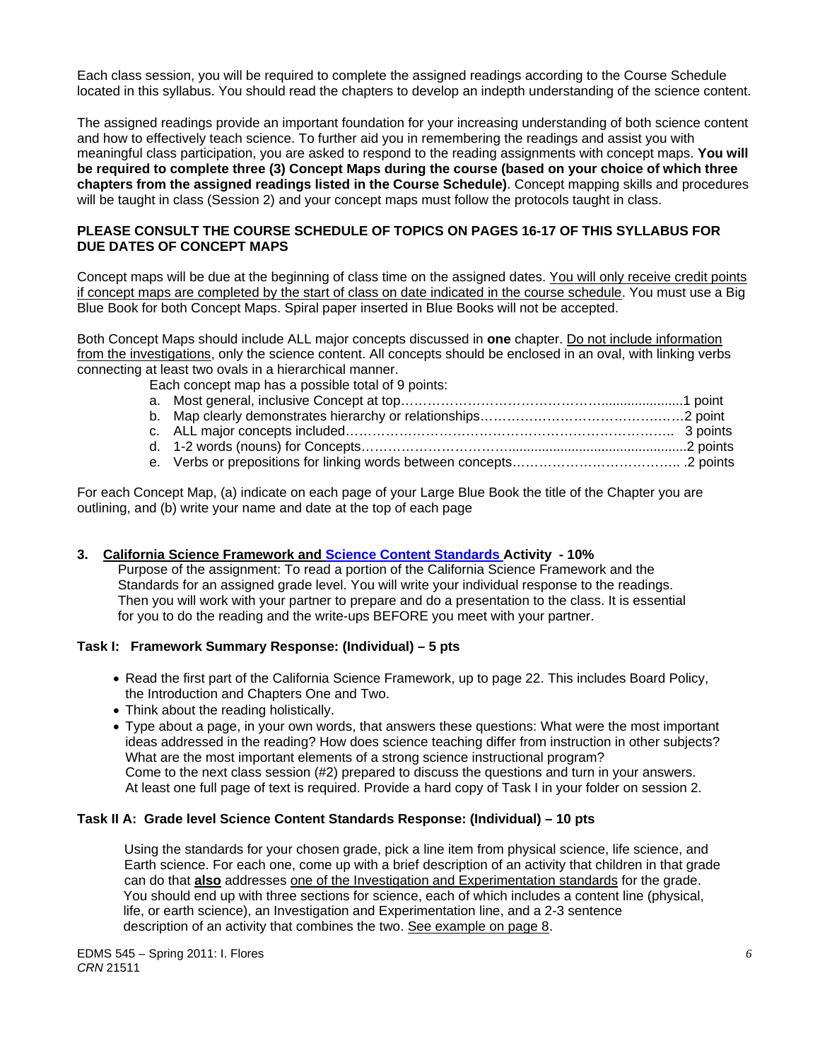Each class session, you will be required to complete the assigned readings according to the Course Schedule located in this syllabus. You should read the chapters to develop an indepth understanding of the science content.

The assigned readings provide an important foundation for your increasing understanding of both science content and how to effectively teach science. To further aid you in remembering the readings and assist you with meaningful class participation, you are asked to respond to the reading assignments with concept maps. **You will be required to complete three (3) Concept Maps during the course (based on your choice of which three chapters from the assigned readings listed in the Course Schedule)**. Concept mapping skills and procedures will be taught in class (Session 2) and your concept maps must follow the protocols taught in class.

# **PLEASE CONSULT THE COURSE SCHEDULE OF TOPICS ON PAGES 16-17 OF THIS SYLLABUS FOR DUE DATES OF CONCEPT MAPS**

Concept maps will be due at the beginning of class time on the assigned dates. You will only receive credit points if concept maps are completed by the start of class on date indicated in the course schedule. You must use a Big Blue Book for both Concept Maps. Spiral paper inserted in Blue Books will not be accepted.

Both Concept Maps should include ALL major concepts discussed in **one** chapter. Do not include information from the investigations, only the science content. All concepts should be enclosed in an oval, with linking verbs connecting at least two ovals in a hierarchical manner.

Each concept map has a possible total of 9 points:

For each Concept Map, (a) indicate on each page of your Large Blue Book the title of the Chapter you are outlining, and (b) write your name and date at the top of each page

# **3. California Science Framework and Science Content Standards Activity - 10%**

 Purpose of the assignment: To read a portion of the California Science Framework and the Standards for an assigned grade level. You will write your individual response to the readings. Then you will work with your partner to prepare and do a presentation to the class. It is essential for you to do the reading and the write-ups BEFORE you meet with your partner.

#### **Task I: Framework Summary Response: (Individual) – 5 pts**

- Read the first part of the California Science Framework, up to page 22. This includes Board Policy, the Introduction and Chapters One and Two.
- Think about the reading holistically.
- Type about a page, in your own words, that answers these questions: What were the most important ideas addressed in the reading? How does science teaching differ from instruction in other subjects? What are the most important elements of a strong science instructional program? Come to the next class session (#2) prepared to discuss the questions and turn in your answers. At least one full page of text is required. Provide a hard copy of Task I in your folder on session 2.

#### **Task II A: Grade level Science Content Standards Response: (Individual) – 10 pts**

 Using the standards for your chosen grade, pick a line item from physical science, life science, and Earth science. For each one, come up with a brief description of an activity that children in that grade can do that **also** addresses one of the Investigation and Experimentation standards for the grade. You should end up with three sections for science, each of which includes a content line (physical, life, or earth science), an Investigation and Experimentation line, and a 2-3 sentence description of an activity that combines the two. See example on page 8.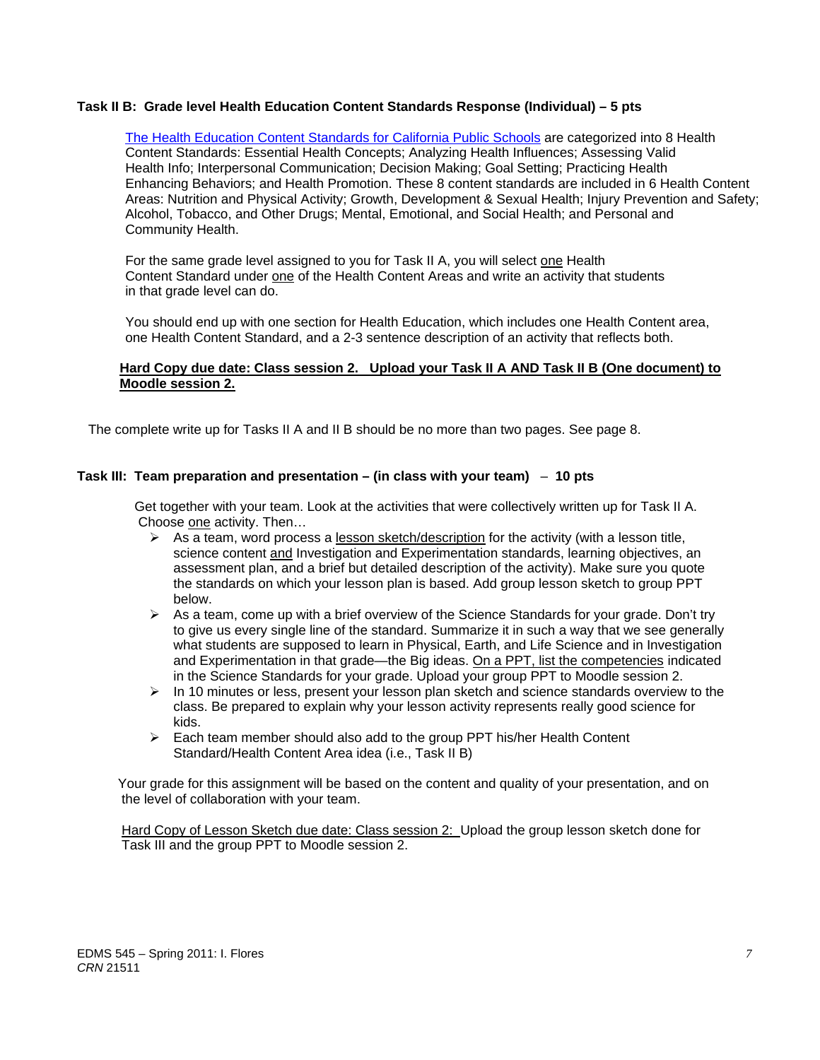#### **Task II B: Grade level Health Education Content Standards Response (Individual) – 5 pts**

Enhancing Behaviors; and Health Promotion. These 8 content standards are included in 6 Health Content Alcohol, Tobacco, and Other Drugs; Mental, Emotional, and Social Health; and Personal and The Health Education Content Standards for California Public Schools are categorized into 8 Health Content Standards: Essential Health Concepts; Analyzing Health Influences; Assessing Valid Health Info; Interpersonal Communication; Decision Making; Goal Setting; Practicing Health Areas: Nutrition and Physical Activity; Growth, Development & Sexual Health; Injury Prevention and Safety; Community Health.

For the same grade level assigned to you for Task II A, you will select one Health Content Standard under one of the Health Content Areas and write an activity that students in that grade level can do.

You should end up with one section for Health Education, which includes one Health Content area, one Health Content Standard, and a 2-3 sentence description of an activity that reflects both.

#### **Hard Copy due date: Class session 2. Upload your Task II A AND Task II B (One document) to Moodle session 2.**

The complete write up for Tasks II A and II B should be no more than two pages. See page 8.

#### **Task III: Team preparation and presentation – (in class with your team)** – **10 pts**

 Get together with your team. Look at the activities that were collectively written up for Task II A. Choose one activity. Then…

- $\triangleright$  As a team, word process a lesson sketch/description for the activity (with a lesson title, science content and Investigation and Experimentation standards, learning objectives, an assessment plan, and a brief but detailed description of the activity). Make sure you quote the standards on which your lesson plan is based. Add group lesson sketch to group PPT below.
- $\triangleright$  As a team, come up with a brief overview of the Science Standards for your grade. Don't try to give us every single line of the standard. Summarize it in such a way that we see generally what students are supposed to learn in Physical, Earth, and Life Science and in Investigation and Experimentation in that grade—the Big ideas. On a PPT, list the competencies indicated in the Science Standards for your grade. Upload your group PPT to Moodle session 2.
- $\triangleright$  In 10 minutes or less, present your lesson plan sketch and science standards overview to the class. Be prepared to explain why your lesson activity represents really good science for kids.
- $\triangleright$  Each team member should also add to the group PPT his/her Health Content Standard/Health Content Area idea (i.e., Task II B)

 Your grade for this assignment will be based on the content and quality of your presentation, and on the level of collaboration with your team.

 Hard Copy of Lesson Sketch due date: Class session 2: Upload the group lesson sketch done for Task III and the group PPT to Moodle session 2.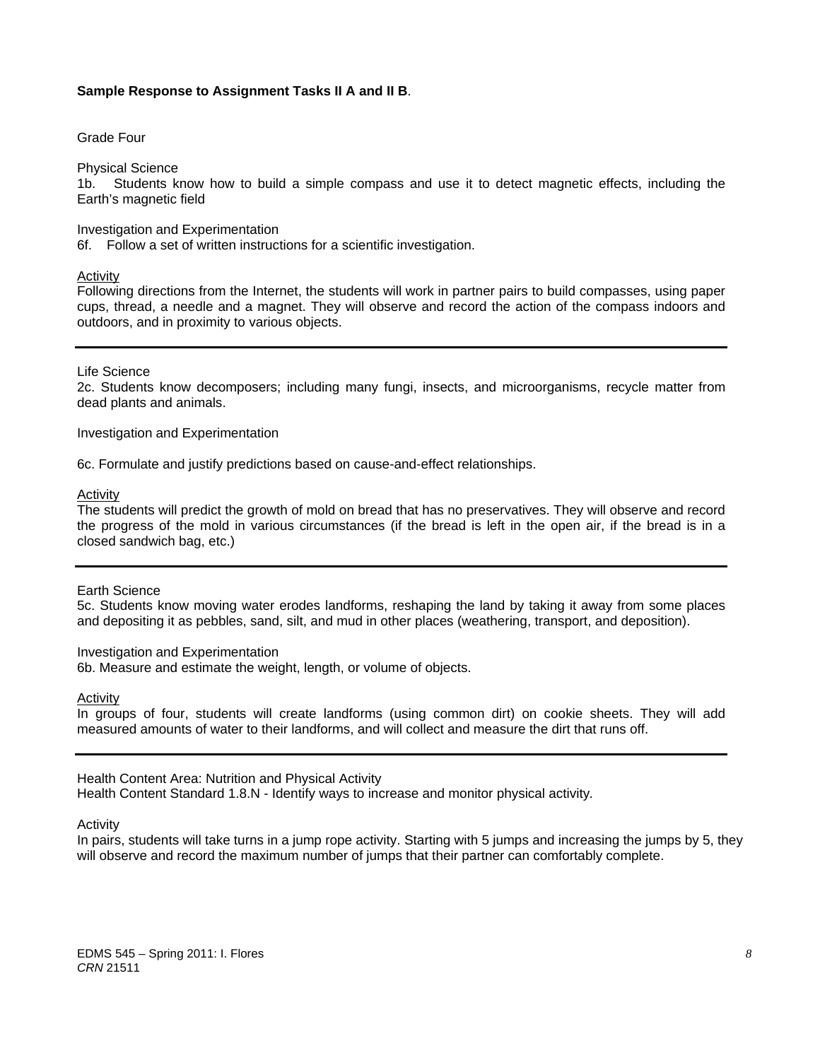# **Sample Response to Assignment Tasks II A and II B**.

Grade Four

Physical Science

1b. Students know how to build a simple compass and use it to detect magnetic effects, including the Earth's magnetic field

#### Investigation and Experimentation

6f. Follow a set of written instructions for a scientific investigation.

#### Activity

Following directions from the Internet, the students will work in partner pairs to build compasses, using paper cups, thread, a needle and a magnet. They will observe and record the action of the compass indoors and outdoors, and in proximity to various objects.

Life Science

2c. Students know decomposers; including many fungi, insects, and microorganisms, recycle matter from dead plants and animals.

Investigation and Experimentation

6c. Formulate and justify predictions based on cause-and-effect relationships.

Activity

 the progress of the mold in various circumstances (if the bread is left in the open air, if the bread is in a The students will predict the growth of mold on bread that has no preservatives. They will observe and record closed sandwich bag, etc.)

#### Earth Science

5c. Students know moving water erodes landforms, reshaping the land by taking it away from some places and depositing it as pebbles, sand, silt, and mud in other places (weathering, transport, and deposition).

#### Investigation and Experimentation

6b. Measure and estimate the weight, length, or volume of objects.

Activity

In groups of four, students will create landforms (using common dirt) on cookie sheets. They will add measured amounts of water to their landforms, and will collect and measure the dirt that runs off.

#### Health Content Area: Nutrition and Physical Activity

Health Content Standard 1.8.N - Identify ways to increase and monitor physical activity*.* 

Activity

In pairs, students will take turns in a jump rope activity. Starting with 5 jumps and increasing the jumps by 5, they will observe and record the maximum number of jumps that their partner can comfortably complete.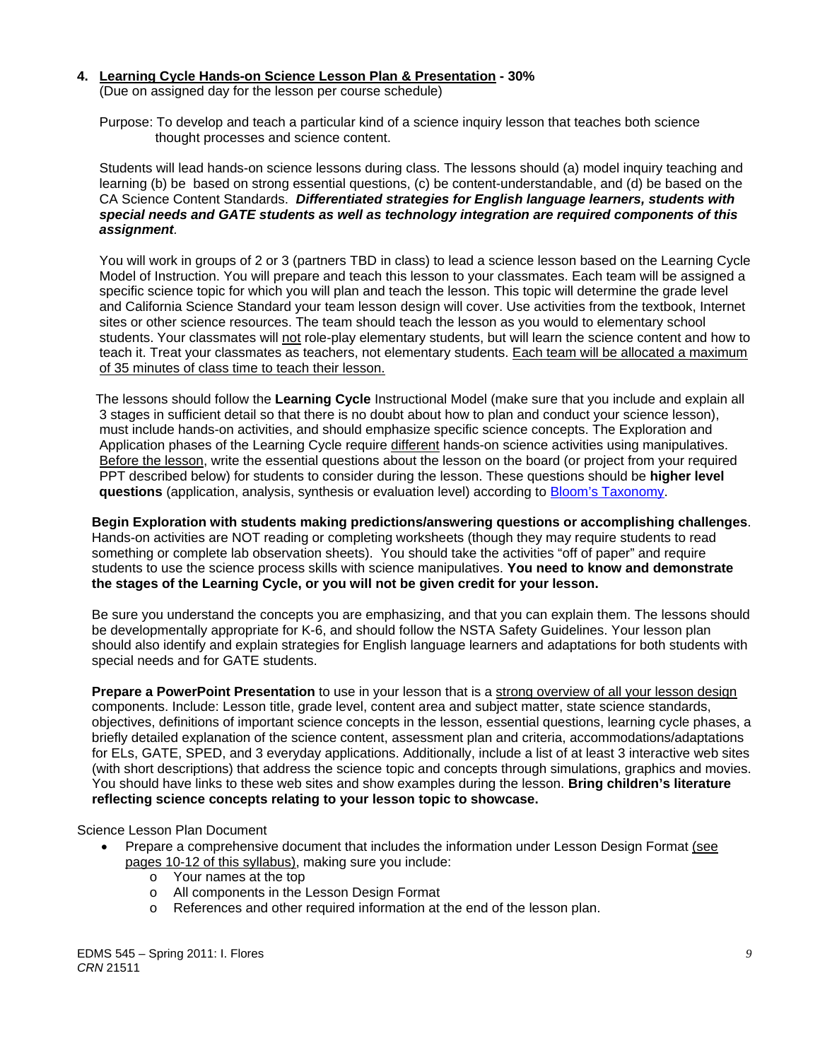#### **4. Learning Cycle Hands-on Science Lesson Plan & Presentation - 30%**

(Due on assigned day for the lesson per course schedule)

 Purpose: To develop and teach a particular kind of a science inquiry lesson that teaches both science thought processes and science content.

 Students will lead hands-on science lessons during class. The lessons should (a) model inquiry teaching and learning (b) be based on strong essential questions, (c) be content-understandable, and (d) be based on the CA Science Content Standards. *Differentiated strategies for English language learners, students with special needs and GATE students as well as technology integration are required components of this assignment.*

 You will work in groups of 2 or 3 (partners TBD in class) to lead a science lesson based on the Learning Cycle Model of Instruction. You will prepare and teach this lesson to your classmates. Each team will be assigned a specific science topic for which you will plan and teach the lesson. This topic will determine the grade level and California Science Standard your team lesson design will cover. Use activities from the textbook, Internet sites or other science resources. The team should teach the lesson as you would to elementary school students. Your classmates will not role-play elementary students, but will learn the science content and how to teach it. Treat your classmates as teachers, not elementary students. Each team will be allocated a maximum of 35 minutes of class time to teach their lesson.

 The lessons should follow the **Learning Cycle** Instructional Model (make sure that you include and explain all 3 stages in sufficient detail so that there is no doubt about how to plan and conduct your science lesson), must include hands-on activities, and should emphasize specific science concepts. The Exploration and Application phases of the Learning Cycle require different hands-on science activities using manipulatives. Before the lesson, write the essential questions about the lesson on the board (or project from your required PPT described below) for students to consider during the lesson. These questions should be **higher level questions** (application, analysis, synthesis or evaluation level) according to Bloom's Taxonomy.

**Begin Exploration with students making predictions/answering questions or accomplishing challenges**. Hands-on activities are NOT reading or completing worksheets (though they may require students to read something or complete lab observation sheets). You should take the activities "off of paper" and require students to use the science process skills with science manipulatives. **You need to know and demonstrate the stages of the Learning Cycle, or you will not be given credit for your lesson.**

 Be sure you understand the concepts you are emphasizing, and that you can explain them. The lessons should be developmentally appropriate for K-6, and should follow the NSTA Safety Guidelines. Your lesson plan should also identify and explain strategies for English language learners and adaptations for both students with special needs and for GATE students.

**Prepare a PowerPoint Presentation** to use in your lesson that is a strong overview of all your lesson design components. Include: Lesson title, grade level, content area and subject matter, state science standards, objectives, definitions of important science concepts in the lesson, essential questions, learning cycle phases, a briefly detailed explanation of the science content, assessment plan and criteria, accommodations/adaptations for ELs, GATE, SPED, and 3 everyday applications. Additionally, include a list of at least 3 interactive web sites (with short descriptions) that address the science topic and concepts through simulations, graphics and movies. You should have links to these web sites and show examples during the lesson. **Bring children's literature reflecting science concepts relating to your lesson topic to showcase.** 

#### Science Lesson Plan Document

- Prepare a comprehensive document that includes the information under Lesson Design Format (see pages 10-12 of this syllabus), making sure you include:
	- o Your names at the top
	- o All components in the Lesson Design Format
	- o References and other required information at the end of the lesson plan.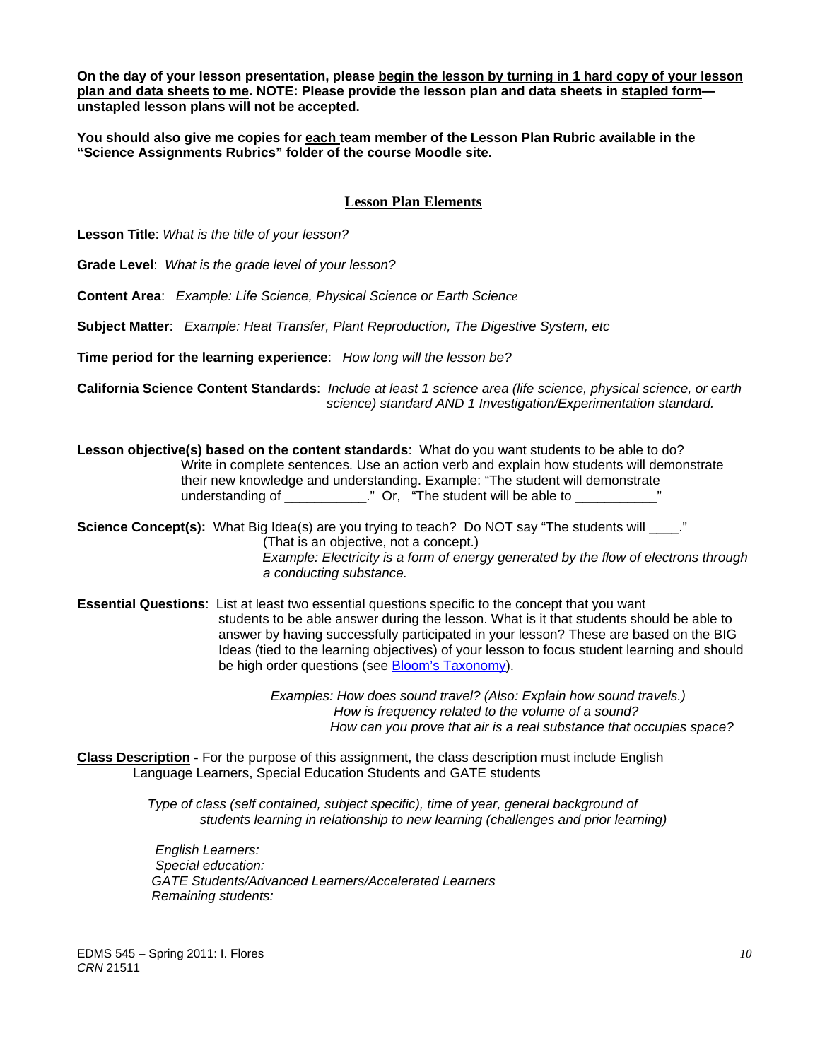**On the day of your lesson presentation, please begin the lesson by turning in 1 hard copy of your lesson plan and data sheets to me. NOTE: Please provide the lesson plan and data sheets in stapled form unstapled lesson plans will not be accepted.** 

**You should also give me copies for each team member of the Lesson Plan Rubric available in the "Science Assignments Rubrics" folder of the course Moodle site.** 

# **Lesson Plan Elements**

**Lesson Title**: *What is the title of your lesson?* 

**Grade Level**: *What is the grade level of your lesson?* 

**Content Area**: *Example: Life Science, Physical Science or Earth Science* 

**Subject Matter**: *Example: Heat Transfer, Plant Reproduction, The Digestive System, etc* 

**Time period for the learning experience**: *How long will the lesson be?* 

**California Science Content Standards**: *Include at least 1 science area (life science, physical science, or earth science) standard AND 1 Investigation/Experimentation standard.* 

**Lesson objective(s) based on the content standards**: What do you want students to be able to do? Write in complete sentences. Use an action verb and explain how students will demonstrate their new knowledge and understanding. Example: "The student will demonstrate understanding of \_\_\_\_\_\_\_\_\_\_\_\_." Or, "The student will be able to \_\_\_\_

**Science Concept(s):** What Big Idea(s) are you trying to teach? Do NOT say "The students will \_\_\_\_." (That is an objective, not a concept.) *Example: Electricity is a form of energy generated by the flow of electrons through a conducting substance.* 

 **Essential Questions**: List at least two essential questions specific to the concept that you want students to be able answer during the lesson. What is it that students should be able to answer by having successfully participated in your lesson? These are based on the BIG Ideas (tied to the learning objectives) of your lesson to focus student learning and should be high order questions (see Bloom's Taxonomy).

> *Examples: How does sound travel? (Also: Explain how sound travels.) How is frequency related to the volume of a sound? How can you prove that air is a real substance that occupies space?*

**Class Description -** For the purpose of this assignment, the class description must include English Language Learners, Special Education Students and GATE students

> *Type of class (self contained, subject specific), time of year, general background of students learning in relationship to new learning (challenges and prior learning)*

*English Learners: Special education: GATE Students/Advanced Learners/Accelerated Learners Remaining students:*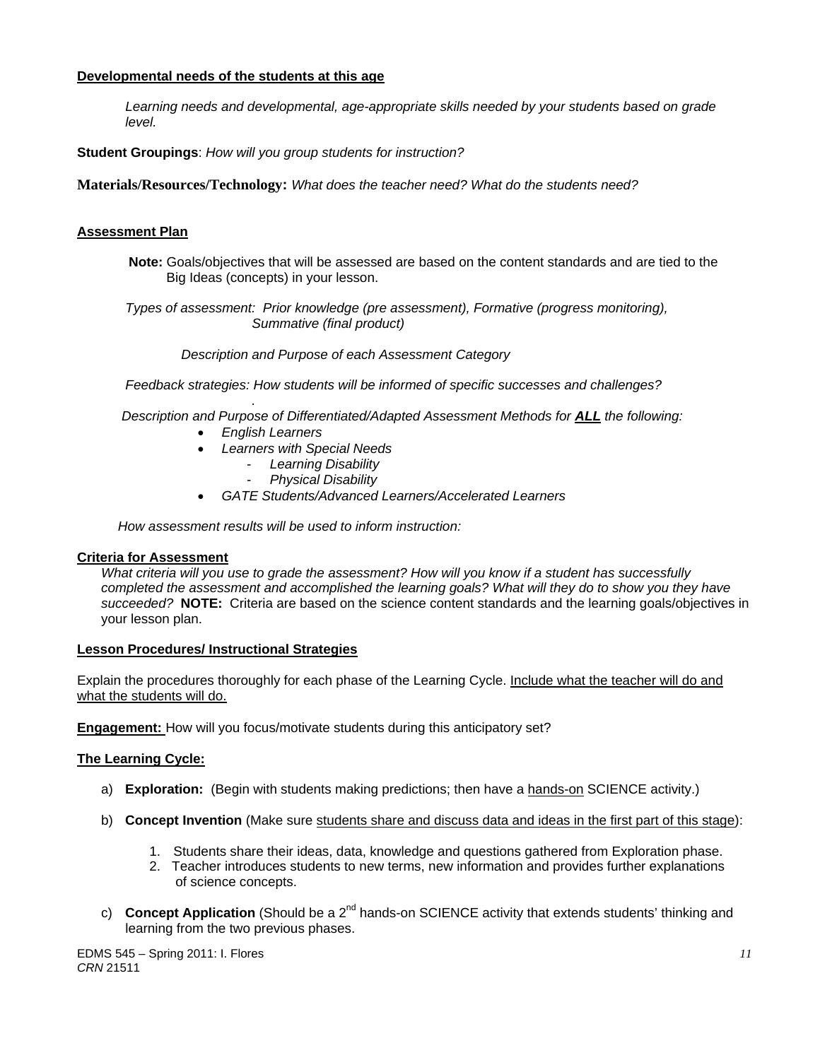# **Developmental needs of the students at this age**

*Learning needs and developmental, age-appropriate skills needed by your students based on grade level.* 

**Student Groupings**: *How will you group students for instruction?* 

**Materials/Resources/Technology:** *What does the teacher need? What do the students need?* 

# **Assessment Plan**

**Note:** Goals/objectives that will be assessed are based on the content standards and are tied to the Big Ideas (concepts) in your lesson.

 *Types of assessment: Prior knowledge (pre assessment), Formative (progress monitoring), Summative (final product)* 

 *Description and Purpose of each Assessment Category* 

 *Feedback strategies: How students will be informed of specific successes and challenges?* 

*. Description and Purpose of Differentiated/Adapted Assessment Methods for ALL the following:* 

- *English Learners*
- *Learners with Special Needs* 
	- *Learning Disability*
	- *Physical Disability*
- *GATE Students/Advanced Learners/Accelerated Learners*

 *How assessment results will be used to inform instruction:* 

#### **Criteria for Assessment**

 *succeeded?* **NOTE:** Criteria are based on the science content standards and the learning goals/objectives in *What criteria will you use to grade the assessment? How will you know if a student has successfully completed the assessment and accomplished the learning goals? What will they do to show you they have*  your lesson plan.

# **Lesson Procedures/ Instructional Strategies**

what the students will do. Explain the procedures thoroughly for each phase of the Learning Cycle. Include what the teacher will do and

**Engagement:** How will you focus/motivate students during this anticipatory set?

#### **The Learning Cycle:**

- a) **Exploration:** (Begin with students making predictions; then have a hands-on SCIENCE activity.)
- b) **Concept Invention** (Make sure students share and discuss data and ideas in the first part of this stage):
	- 1. Students share their ideas, data, knowledge and questions gathered from Exploration phase.
	- 2. Teacher introduces students to new terms, new information and provides further explanations of science concepts.
- c) **Concept Application** (Should be a 2<sup>nd</sup> hands-on SCIENCE activity that extends students' thinking and learning from the two previous phases.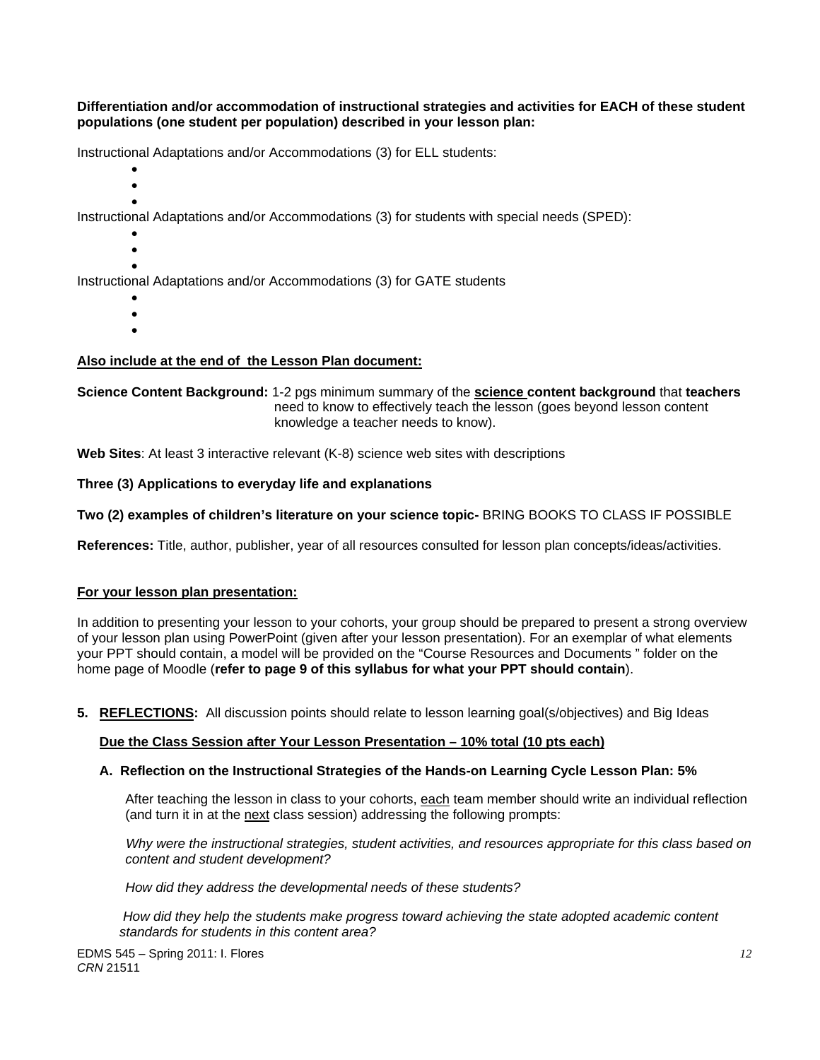**Differentiation and/or accommodation of instructional strategies and activities for EACH of these student populations (one student per population) described in your lesson plan:** 

Instructional Adaptations and/or Accommodations (3) for ELL students:

- $\bullet$
- $\bullet$  $\bullet$

Instructional Adaptations and/or Accommodations (3) for students with special needs (SPED):

- $\bullet$
- $\bullet$  $\bullet$

Instructional Adaptations and/or Accommodations (3) for GATE students

- $\bullet$
- $\bullet$  $\bullet$

# **Also include at the end of the Lesson Plan document:**

**Science Content Background:** 1-2 pgs minimum summary of the **science content background** that **teachers** need to know to effectively teach the lesson (goes beyond lesson content knowledge a teacher needs to know).

**Web Sites**: At least 3 interactive relevant (K-8) science web sites with descriptions

# Three (3) Applications to everyday life and explanations

Two (2) examples of children's literature on your science topic- BRING BOOKS TO CLASS IF POSSIBLE

**References:** Title, author, publisher, year of all resources consulted for lesson plan concepts/ideas/activities.

#### **For your lesson plan presentation:**

In addition to presenting your lesson to your cohorts, your group should be prepared to present a strong overview of your lesson plan using PowerPoint (given after your lesson presentation). For an exemplar of what elements your PPT should contain, a model will be provided on the "Course Resources and Documents " folder on the home page of Moodle (**refer to page 9 of this syllabus for what your PPT should contain**).

**5. REFLECTIONS:** All discussion points should relate to lesson learning goal(s/objectives) and Big Ideas

# **Due the Class Session after Your Lesson Presentation – 10% total (10 pts each)**

#### **A. Reflection on the Instructional Strategies of the Hands-on Learning Cycle Lesson Plan: 5%**

After teaching the lesson in class to your cohorts, <u>each</u> team member should write an individual reflection<br>(and turn it in at the <u>next</u> class session) addressing the following prompts:

content and student development?  *Why were the instructional strategies, student activities, and resources appropriate for this class based on* 

*content and student development? How did they address the developmental needs of these students?*

 *standards for students in this content area? How did they help the students make progress toward achieving the state adopted academic content*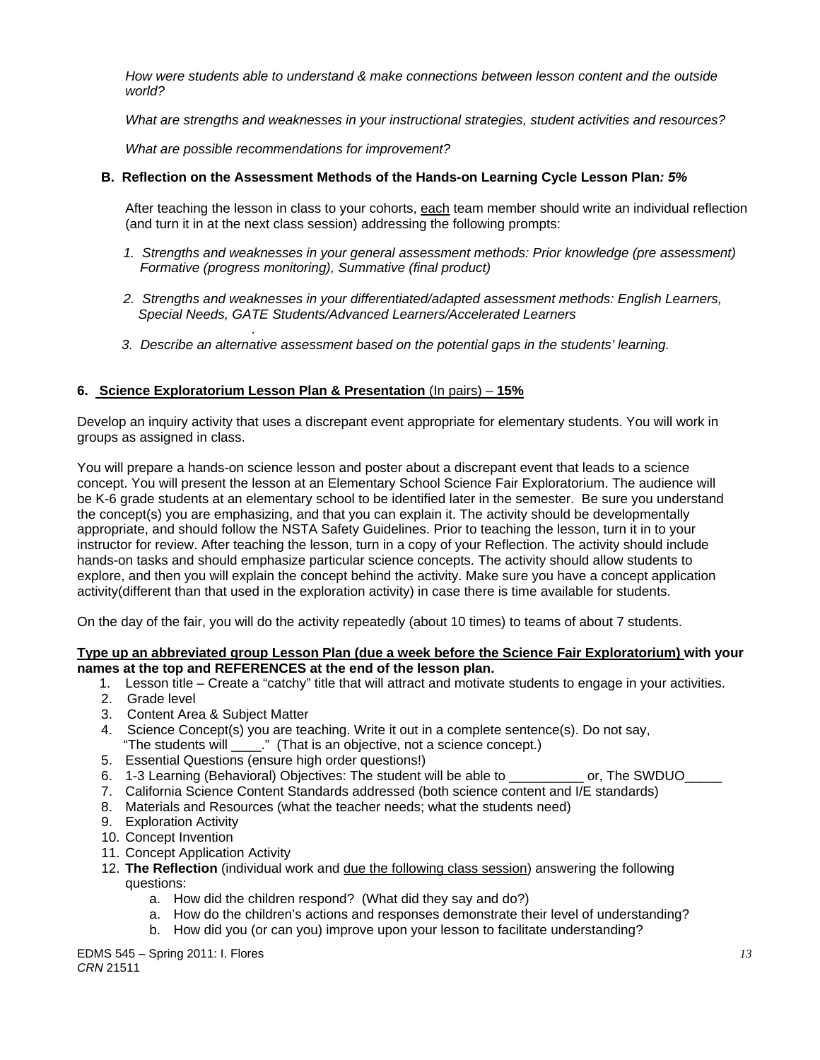*How were students able to understand & make connections between lesson content and the outside world?* 

*What are strengths and weaknesses in your instructional strategies, student activities and resources?* 

 *What are possible recommendations for improvement?* 

# **B. Reflection on the Assessment Methods of the Hands-on Learning Cycle Lesson Plan***: 5%*

After teaching the lesson in class to your cohorts, each team member should write an individual reflection (and turn it in at the next class session) addressing the following prompts:

- 1. Strengths and weaknesses in your general assessment methods: Prior knowledge (pre assessment)  *Formative (progress monitoring), Summative (final product)*
- *2. Strengths and weaknesses in your differentiated/adapted assessment methods: English Learners, Special Needs, GATE Students/Advanced Learners/Accelerated Learners*
- *. 3. Describe an alternative assessment based on the potential gaps in the students' learning.*

# **6. Science Exploratorium Lesson Plan & Presentation** (In pairs) – **15%**

Develop an inquiry activity that uses a discrepant event appropriate for elementary students. You will work in groups as assigned in class.

You will prepare a hands-on science lesson and poster about a discrepant event that leads to a science concept. You will present the lesson at an Elementary School Science Fair Exploratorium. The audience will be K-6 grade students at an elementary school to be identified later in the semester. Be sure you understand the concept(s) you are emphasizing, and that you can explain it. The activity should be developmentally appropriate, and should follow the NSTA Safety Guidelines. Prior to teaching the lesson, turn it in to your instructor for review. After teaching the lesson, turn in a copy of your Reflection. The activity should include hands-on tasks and should emphasize particular science concepts. The activity should allow students to explore, and then you will explain the concept behind the activity. Make sure you have a concept application activity(different than that used in the exploration activity) in case there is time available for students.

On the day of the fair, you will do the activity repeatedly (about 10 times) to teams of about 7 students.

#### **Type up an abbreviated group Lesson Plan (due a week before the Science Fair Exploratorium) with your names at the top and REFERENCES at the end of the lesson plan.**

- 1. Lesson title Create a "catchy" title that will attract and motivate students to engage in your activities.
- 2. Grade level
- 3. Content Area & Subject Matter
- 4. Science Concept(s) you are teaching. Write it out in a complete sentence(s). Do not say, "The students will  $\therefore$  " (That is an objective, not a science concept.)
- 5. Essential Questions (ensure high order questions!)
- 6. 1-3 Learning (Behavioral) Objectives: The student will be able to \_\_\_\_\_\_\_\_\_\_ or, The SWDUO\_\_\_\_\_
- 7. California Science Content Standards addressed (both science content and I/E standards)
- 8. Materials and Resources (what the teacher needs; what the students need)
- 9. Exploration Activity
- 10. Concept Invention
- 11. Concept Application Activity
- 12. **The Reflection** (individual work and due the following class session) answering the following questions:
	- a. How did the children respond? (What did they say and do?)
	- a. How do the children's actions and responses demonstrate their level of understanding?
	- b. How did you (or can you) improve upon your lesson to facilitate understanding?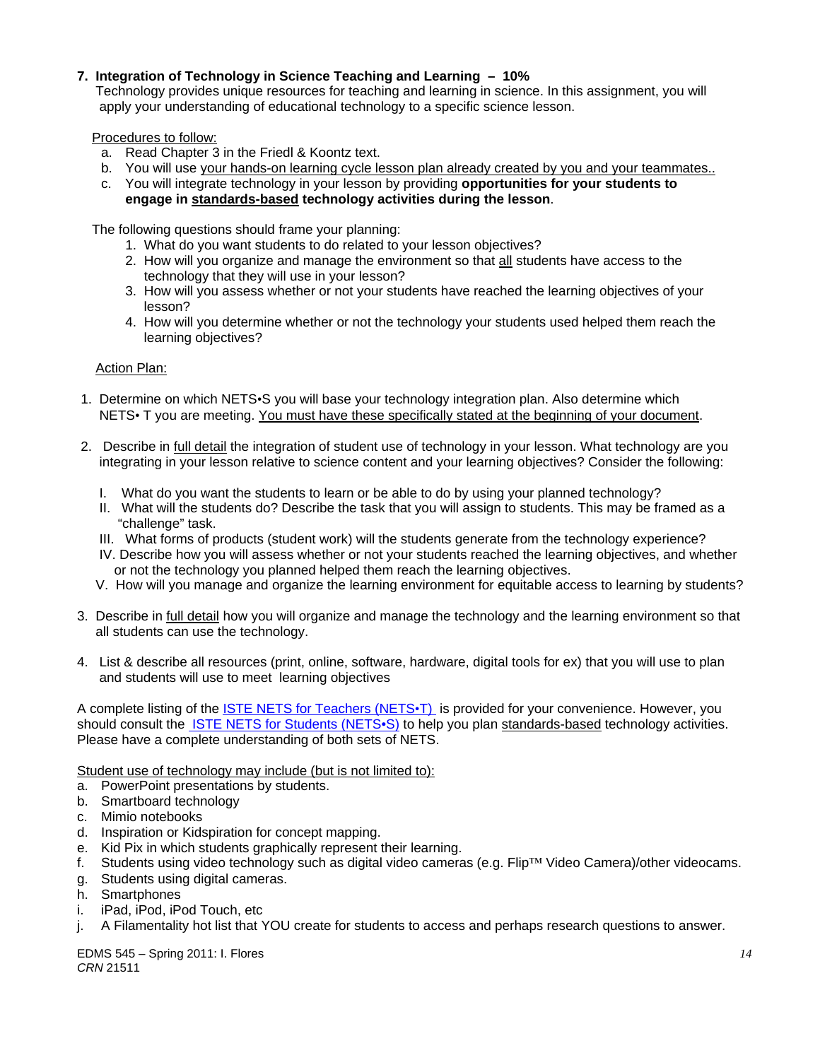# **7. Integration of Technology in Science Teaching and Learning – 10%**

 Technology provides unique resources for teaching and learning in science. In this assignment, you will apply your understanding of educational technology to a specific science lesson.

Procedures to follow:

- a. Read Chapter 3 in the Friedl & Koontz text.
- b. You will use your hands-on learning cycle lesson plan already created by you and your teammates..
- c. You will integrate technology in your lesson by providing **opportunities for your students to engage in standards-based technology activities during the lesson**.

The following questions should frame your planning:

- 1. What do you want students to do related to your lesson objectives?
- 2. How will you organize and manage the environment so that all students have access to the technology that they will use in your lesson?
- 3. How will you assess whether or not your students have reached the learning objectives of your lesson?
- 4. How will you determine whether or not the technology your students used helped them reach the learning objectives?

**Action Plan:** 

- 1. Determine on which NETS•S you will base your technology integration plan. Also determine which NETS• T you are meeting. You must have these specifically stated at the beginning of your document.
- 2. Describe in full detail the integration of student use of technology in your lesson. What technology are you integrating in your lesson relative to science content and your learning objectives? Consider the following:
	- I. What do you want the students to learn or be able to do by using your planned technology?
	- II. What will the students do? Describe the task that you will assign to students. This may be framed as a "challenge" task.
	- III. What forms of products (student work) will the students generate from the technology experience?
	- IV. Describe how you will assess whether or not your students reached the learning objectives, and whether or not the technology you planned helped them reach the learning objectives.
	- V. How will you manage and organize the learning environment for equitable access to learning by students?
- 3. Describe in full detail how you will organize and manage the technology and the learning environment so that all students can use the technology.
- 4. List & describe all resources (print, online, software, hardware, digital tools for ex) that you will use to plan and students will use to meet learning objectives

A complete listing of the ISTE NETS for Teachers (NETS•T) is provided for your convenience. However, you should consult the ISTE NETS for Students (NETS•S) to help you plan standards-based technology activities. Please have a complete understanding of both sets of NETS.

Student use of technology may include (but is not limited to):

- a. PowerPoint presentations by students.
- b. Smartboard technology
- c. Mimio notebooks
- d. Inspiration or Kidspiration for concept mapping.
- e. Kid Pix in which students graphically represent their learning.
- f. Students using video technology such as digital video cameras (e.g. Flip™ Video Camera)/other videocams.
- g. Students using digital cameras.
- h. Smartphones
- i. iPad, iPod, iPod Touch, etc
- j. A Filamentality hot list that YOU create for students to access and perhaps research questions to answer.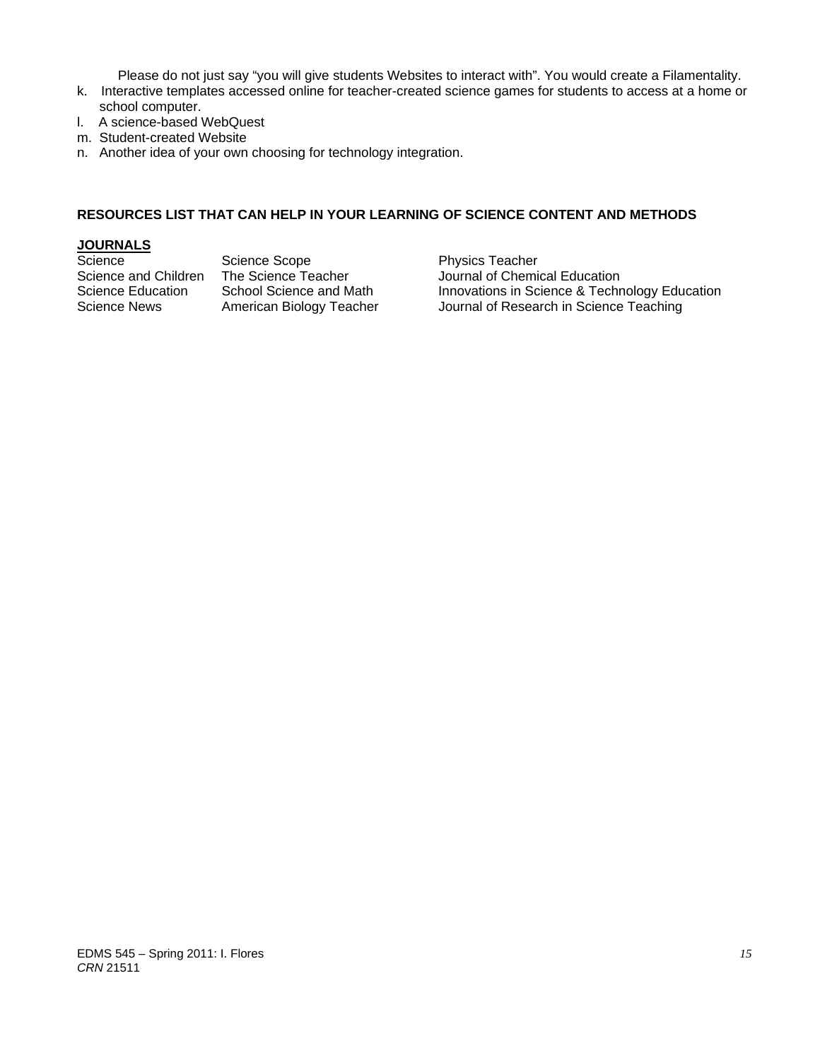Please do not just say "you will give students Websites to interact with". You would create a Filamentality.

- k. Interactive templates accessed online for teacher-created science games for students to access at a home or school computer.
- l. A science-based WebQuest
- m. Student-created Website
- n. Another idea of your own choosing for technology integration.

# **RESOURCES LIST THAT CAN HELP IN YOUR LEARNING OF SCIENCE CONTENT AND METHODS**

# **JOURNALS**

Science Scope Physics Teacher

Science and Children The Science Teacher Journal of Chemical Education<br>Science Education School Science and Math Innovations in Science & Techn Science Education School Science and Math Innovations in Science & Technology Education<br>Science News American Biology Teacher Journal of Research in Science Teaching American Biology Teacher Journal of Research in Science Teaching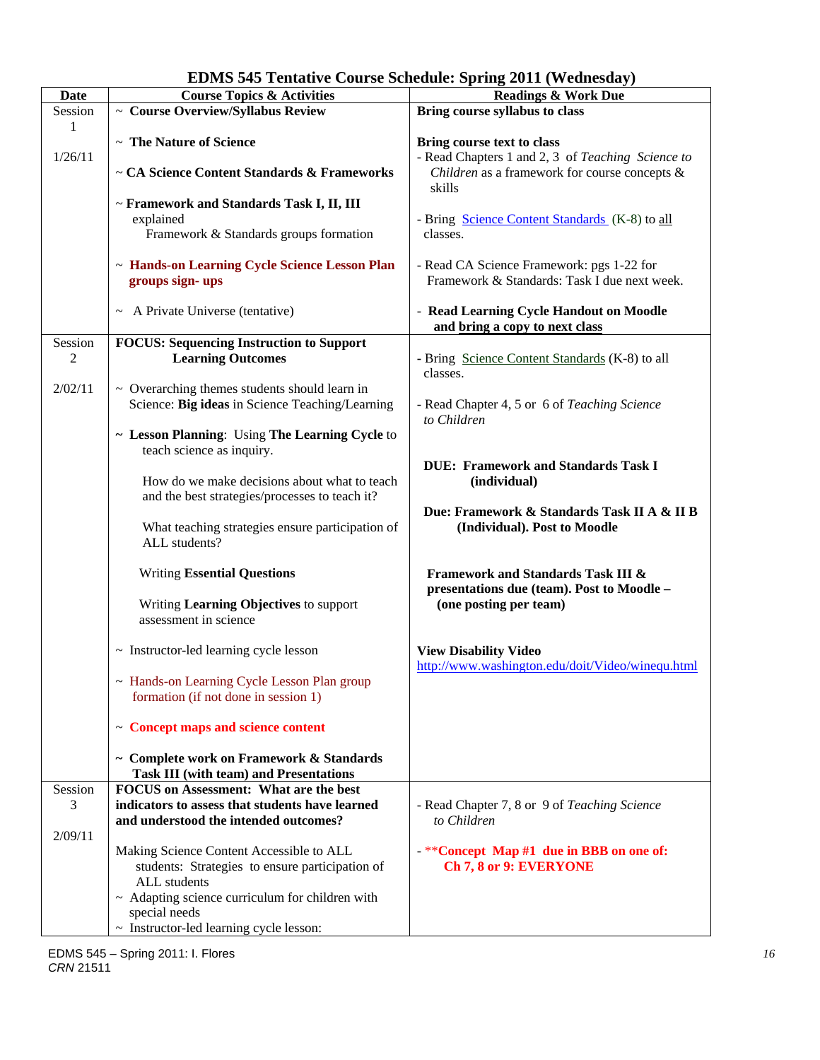| <b>Date</b> | <b>Course Topics &amp; Activities</b>                | $31.115 = 0.11$ , $1.20.116$ , $1.4$<br><b>Readings &amp; Work Due</b> |  |
|-------------|------------------------------------------------------|------------------------------------------------------------------------|--|
| Session     | $\sim$ Course Overview/Syllabus Review               | Bring course syllabus to class                                         |  |
| 1           |                                                      |                                                                        |  |
|             | ~ The Nature of Science                              |                                                                        |  |
| 1/26/11     |                                                      | Bring course text to class                                             |  |
|             |                                                      | - Read Chapters 1 and 2, 3 of Teaching Science to                      |  |
|             | ~ CA Science Content Standards & Frameworks          | Children as a framework for course concepts &                          |  |
|             |                                                      | skills                                                                 |  |
|             | ~ Framework and Standards Task I, II, III            |                                                                        |  |
|             | explained                                            | - Bring Science Content Standards (K-8) to all                         |  |
|             | Framework & Standards groups formation               | classes.                                                               |  |
|             |                                                      |                                                                        |  |
|             | ~ Hands-on Learning Cycle Science Lesson Plan        | - Read CA Science Framework: pgs 1-22 for                              |  |
|             | groups sign-ups                                      | Framework & Standards: Task I due next week.                           |  |
|             |                                                      |                                                                        |  |
|             | $\sim$ A Private Universe (tentative)                | - Read Learning Cycle Handout on Moodle                                |  |
|             |                                                      | and bring a copy to next class                                         |  |
| Session     | <b>FOCUS: Sequencing Instruction to Support</b>      |                                                                        |  |
| 2           | <b>Learning Outcomes</b>                             | - Bring Science Content Standards (K-8) to all                         |  |
|             |                                                      | classes.                                                               |  |
| 2/02/11     | $\sim$ Overarching themes students should learn in   |                                                                        |  |
|             | Science: Big ideas in Science Teaching/Learning      | - Read Chapter 4, 5 or 6 of Teaching Science                           |  |
|             |                                                      | to Children                                                            |  |
|             | ~ Lesson Planning: Using The Learning Cycle to       |                                                                        |  |
|             |                                                      |                                                                        |  |
|             | teach science as inquiry.                            |                                                                        |  |
|             |                                                      | <b>DUE: Framework and Standards Task I</b>                             |  |
|             | How do we make decisions about what to teach         | (individual)                                                           |  |
|             | and the best strategies/processes to teach it?       |                                                                        |  |
|             |                                                      | Due: Framework & Standards Task II A & II B                            |  |
|             | What teaching strategies ensure participation of     | (Individual). Post to Moodle                                           |  |
|             | ALL students?                                        |                                                                        |  |
|             |                                                      |                                                                        |  |
|             | <b>Writing Essential Questions</b>                   | <b>Framework and Standards Task III &amp;</b>                          |  |
|             |                                                      | presentations due (team). Post to Moodle -                             |  |
|             | Writing Learning Objectives to support               | (one posting per team)                                                 |  |
|             | assessment in science                                |                                                                        |  |
|             |                                                      |                                                                        |  |
|             | ~ Instructor-led learning cycle lesson               | <b>View Disability Video</b>                                           |  |
|             |                                                      | http://www.washington.edu/doit/Video/winequ.html                       |  |
|             | ~ Hands-on Learning Cycle Lesson Plan group          |                                                                        |  |
|             | formation (if not done in session 1)                 |                                                                        |  |
|             |                                                      |                                                                        |  |
|             | $\sim$ Concept maps and science content              |                                                                        |  |
|             |                                                      |                                                                        |  |
|             | ~ Complete work on Framework & Standards             |                                                                        |  |
|             | <b>Task III (with team) and Presentations</b>        |                                                                        |  |
| Session     | <b>FOCUS</b> on Assessment: What are the best        |                                                                        |  |
| 3           | indicators to assess that students have learned      | - Read Chapter 7, 8 or 9 of Teaching Science                           |  |
|             | and understood the intended outcomes?                | to Children                                                            |  |
| 2/09/11     |                                                      |                                                                        |  |
|             | Making Science Content Accessible to ALL             | -**Concept Map #1 due in BBB on one of:                                |  |
|             | students: Strategies to ensure participation of      | Ch 7, 8 or 9: EVERYONE                                                 |  |
|             | ALL students                                         |                                                                        |  |
|             |                                                      |                                                                        |  |
|             | $\sim$ Adapting science curriculum for children with |                                                                        |  |
|             | special needs                                        |                                                                        |  |
|             | ~ Instructor-led learning cycle lesson:              |                                                                        |  |

# **EDMS 545 Tentative Course Schedule: Spring 2011 (Wednesday)**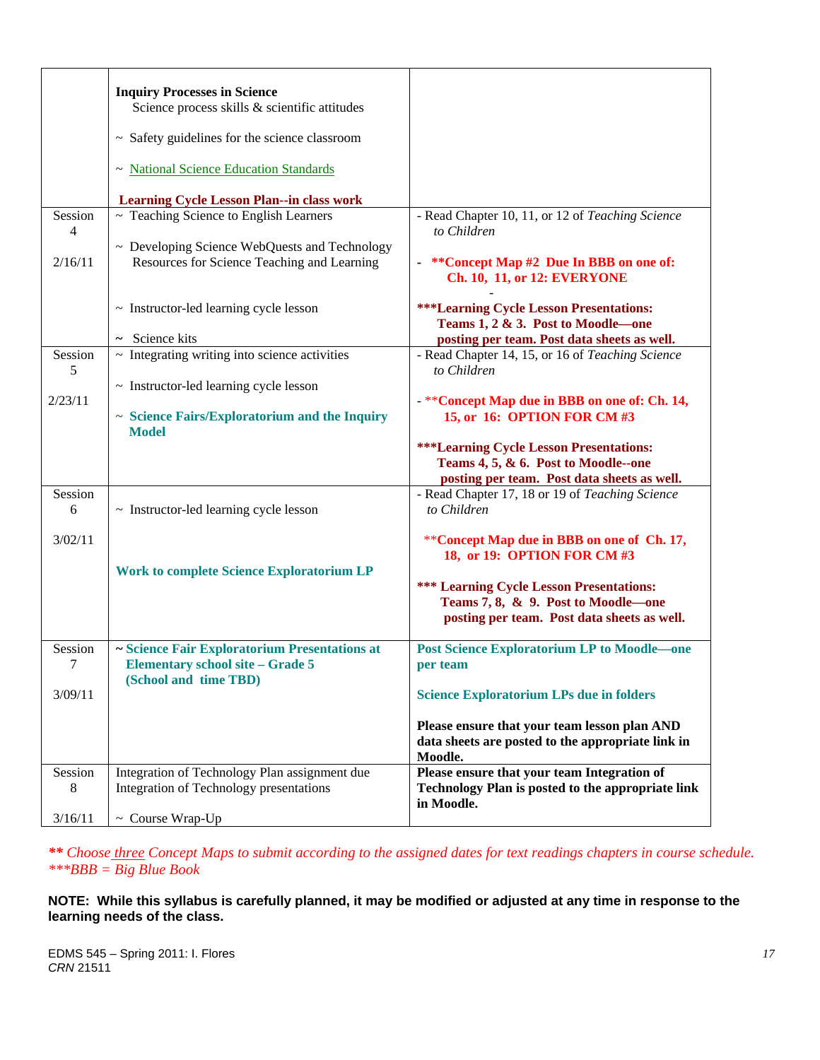|              | <b>Inquiry Processes in Science</b><br>Science process skills & scientific attitudes                              |                                                                                                                |
|--------------|-------------------------------------------------------------------------------------------------------------------|----------------------------------------------------------------------------------------------------------------|
|              | $\sim$ Safety guidelines for the science classroom                                                                |                                                                                                                |
|              | ~ National Science Education Standards                                                                            |                                                                                                                |
|              | <b>Learning Cycle Lesson Plan--in class work</b>                                                                  |                                                                                                                |
| Session<br>4 | ~ Teaching Science to English Learners                                                                            | - Read Chapter 10, 11, or 12 of Teaching Science<br>to Children                                                |
|              | ~ Developing Science WebQuests and Technology                                                                     |                                                                                                                |
| 2/16/11      | Resources for Science Teaching and Learning                                                                       | **Concept Map #2 Due In BBB on one of:<br>$\blacksquare$<br>Ch. 10, 11, or 12: EVERYONE                        |
|              | ~ Instructor-led learning cycle lesson                                                                            | <b>***Learning Cycle Lesson Presentations:</b><br>Teams 1, 2 & 3. Post to Moodle-one                           |
|              | $\sim$ Science kits                                                                                               | posting per team. Post data sheets as well.                                                                    |
| Session<br>5 | $\sim$ Integrating writing into science activities                                                                | - Read Chapter 14, 15, or 16 of Teaching Science<br>to Children                                                |
|              | $\sim$ Instructor-led learning cycle lesson                                                                       |                                                                                                                |
| 2/23/11      | $\sim$ Science Fairs/Exploratorium and the Inquiry<br><b>Model</b>                                                | - ** Concept Map due in BBB on one of: Ch. 14,<br>15, or 16: OPTION FOR CM #3                                  |
|              |                                                                                                                   | <b>***Learning Cycle Lesson Presentations:</b><br>Teams 4, 5, & 6. Post to Moodle--one                         |
|              |                                                                                                                   | posting per team. Post data sheets as well.                                                                    |
| Session<br>6 | $\sim$ Instructor-led learning cycle lesson                                                                       | - Read Chapter 17, 18 or 19 of Teaching Science<br>to Children                                                 |
| 3/02/11      |                                                                                                                   | **Concept Map due in BBB on one of Ch. 17,<br>18, or 19: OPTION FOR CM #3                                      |
|              | <b>Work to complete Science Exploratorium LP</b>                                                                  |                                                                                                                |
|              |                                                                                                                   | <b>*** Learning Cycle Lesson Presentations:</b>                                                                |
|              |                                                                                                                   | Teams 7, 8, & 9. Post to Moodle-one<br>posting per team. Post data sheets as well.                             |
|              |                                                                                                                   |                                                                                                                |
| Session<br>7 | ~ Science Fair Exploratorium Presentations at<br><b>Elementary school site – Grade 5</b><br>(School and time TBD) | <b>Post Science Exploratorium LP to Moodle-one</b><br>per team                                                 |
| 3/09/11      |                                                                                                                   | <b>Science Exploratorium LPs due in folders</b>                                                                |
|              |                                                                                                                   | Please ensure that your team lesson plan AND<br>data sheets are posted to the appropriate link in<br>Moodle.   |
| Session<br>8 | Integration of Technology Plan assignment due<br>Integration of Technology presentations                          | Please ensure that your team Integration of<br>Technology Plan is posted to the appropriate link<br>in Moodle. |
| 3/16/11      | $\sim$ Course Wrap-Up                                                                                             |                                                                                                                |

*\*\* Choose three Concept Maps to submit according to the assigned dates for text readings chapters in course schedule. \*\*\*BBB = Big Blue Book* 

**NOTE: While this syllabus is carefully planned, it may be modified or adjusted at any time in response to the learning needs of the class.**